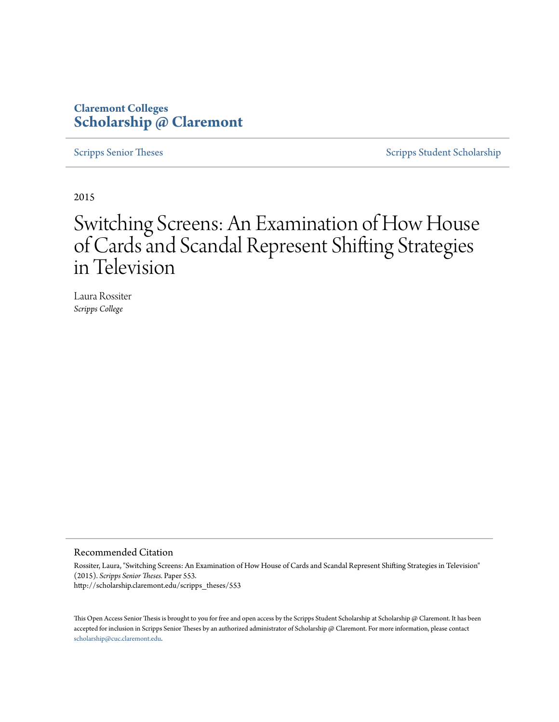# **Claremont Colleges [Scholarship @ Claremont](http://scholarship.claremont.edu)**

[Scripps Senior Theses](http://scholarship.claremont.edu/scripps_theses) [Scripps Student Scholarship](http://scholarship.claremont.edu/scripps_student)

2015

# Switching Screens: An Examination of How House of Cards and Scandal Represent Shifting Strategies in Television

Laura Rossiter *Scripps College*

#### Recommended Citation

Rossiter, Laura, "Switching Screens: An Examination of How House of Cards and Scandal Represent Shifting Strategies in Television" (2015). *Scripps Senior Theses.* Paper 553. http://scholarship.claremont.edu/scripps\_theses/553

This Open Access Senior Thesis is brought to you for free and open access by the Scripps Student Scholarship at Scholarship @ Claremont. It has been accepted for inclusion in Scripps Senior Theses by an authorized administrator of Scholarship @ Claremont. For more information, please contact [scholarship@cuc.claremont.edu.](mailto:scholarship@cuc.claremont.edu)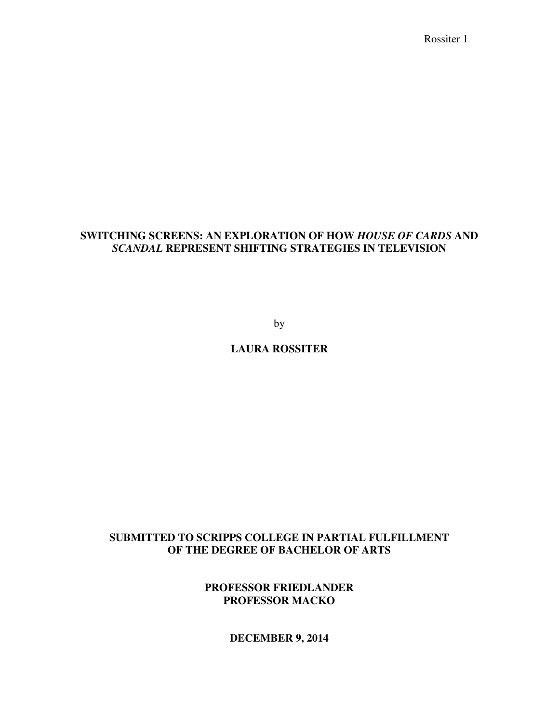# **SWITCHING SCREENS: AN EXPLORATION OF HOW** *HOUSE OF CARDS* **AND**  *SCANDAL* **REPRESENT SHIFTING STRATEGIES IN TELEVISION**

by

# **LAURA ROSSITER**

# **SUBMITTED TO SCRIPPS COLLEGE IN PARTIAL FULFILLMENT OF THE DEGREE OF BACHELOR OF ARTS**

# **PROFESSOR FRIEDLANDER PROFESSOR MACKO**

**DECEMBER 9, 2014**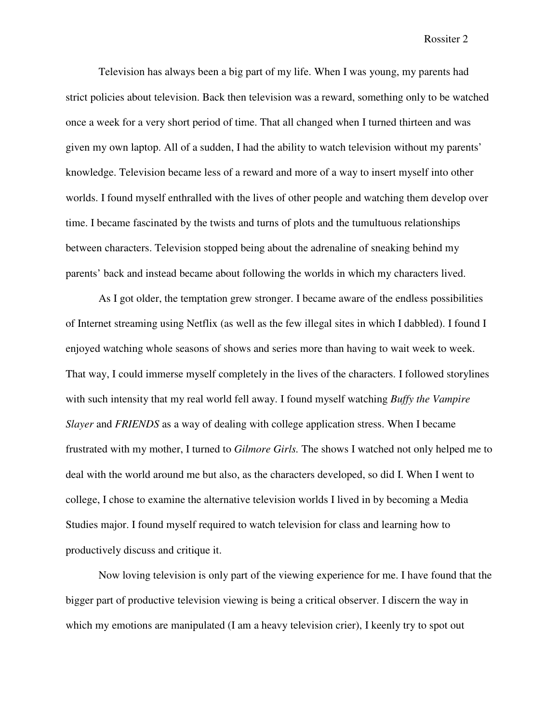Television has always been a big part of my life. When I was young, my parents had strict policies about television. Back then television was a reward, something only to be watched once a week for a very short period of time. That all changed when I turned thirteen and was given my own laptop. All of a sudden, I had the ability to watch television without my parents' knowledge. Television became less of a reward and more of a way to insert myself into other worlds. I found myself enthralled with the lives of other people and watching them develop over time. I became fascinated by the twists and turns of plots and the tumultuous relationships between characters. Television stopped being about the adrenaline of sneaking behind my parents' back and instead became about following the worlds in which my characters lived.

As I got older, the temptation grew stronger. I became aware of the endless possibilities of Internet streaming using Netflix (as well as the few illegal sites in which I dabbled). I found I enjoyed watching whole seasons of shows and series more than having to wait week to week. That way, I could immerse myself completely in the lives of the characters. I followed storylines with such intensity that my real world fell away. I found myself watching *Buffy the Vampire Slayer* and *FRIENDS* as a way of dealing with college application stress. When I became frustrated with my mother, I turned to *Gilmore Girls.* The shows I watched not only helped me to deal with the world around me but also, as the characters developed, so did I. When I went to college, I chose to examine the alternative television worlds I lived in by becoming a Media Studies major. I found myself required to watch television for class and learning how to productively discuss and critique it.

 Now loving television is only part of the viewing experience for me. I have found that the bigger part of productive television viewing is being a critical observer. I discern the way in which my emotions are manipulated (I am a heavy television crier), I keenly try to spot out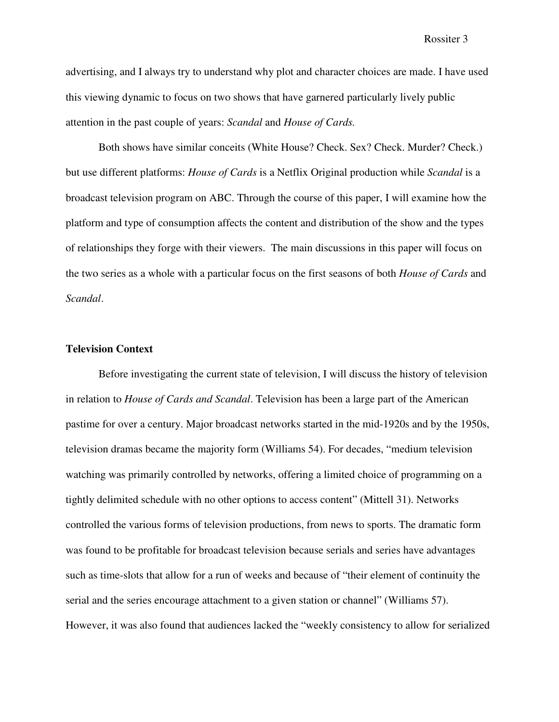advertising, and I always try to understand why plot and character choices are made. I have used this viewing dynamic to focus on two shows that have garnered particularly lively public attention in the past couple of years: *Scandal* and *House of Cards.*

Both shows have similar conceits (White House? Check. Sex? Check. Murder? Check.) but use different platforms: *House of Cards* is a Netflix Original production while *Scandal* is a broadcast television program on ABC. Through the course of this paper, I will examine how the platform and type of consumption affects the content and distribution of the show and the types of relationships they forge with their viewers. The main discussions in this paper will focus on the two series as a whole with a particular focus on the first seasons of both *House of Cards* and *Scandal*.

## **Television Context**

 Before investigating the current state of television, I will discuss the history of television in relation to *House of Cards and Scandal*. Television has been a large part of the American pastime for over a century. Major broadcast networks started in the mid-1920s and by the 1950s, television dramas became the majority form (Williams 54). For decades, "medium television watching was primarily controlled by networks, offering a limited choice of programming on a tightly delimited schedule with no other options to access content" (Mittell 31). Networks controlled the various forms of television productions, from news to sports. The dramatic form was found to be profitable for broadcast television because serials and series have advantages such as time-slots that allow for a run of weeks and because of "their element of continuity the serial and the series encourage attachment to a given station or channel" (Williams 57). However, it was also found that audiences lacked the "weekly consistency to allow for serialized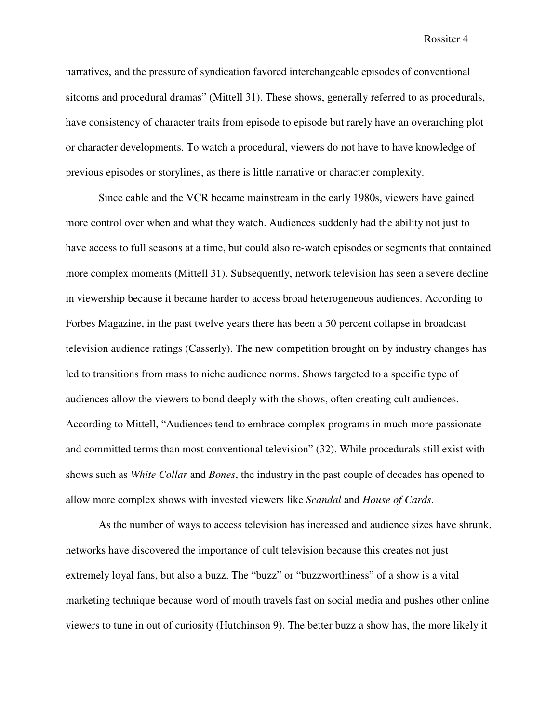narratives, and the pressure of syndication favored interchangeable episodes of conventional sitcoms and procedural dramas" (Mittell 31). These shows, generally referred to as procedurals, have consistency of character traits from episode to episode but rarely have an overarching plot or character developments. To watch a procedural, viewers do not have to have knowledge of previous episodes or storylines, as there is little narrative or character complexity.

Since cable and the VCR became mainstream in the early 1980s, viewers have gained more control over when and what they watch. Audiences suddenly had the ability not just to have access to full seasons at a time, but could also re-watch episodes or segments that contained more complex moments (Mittell 31). Subsequently, network television has seen a severe decline in viewership because it became harder to access broad heterogeneous audiences. According to Forbes Magazine, in the past twelve years there has been a 50 percent collapse in broadcast television audience ratings (Casserly). The new competition brought on by industry changes has led to transitions from mass to niche audience norms. Shows targeted to a specific type of audiences allow the viewers to bond deeply with the shows, often creating cult audiences. According to Mittell, "Audiences tend to embrace complex programs in much more passionate and committed terms than most conventional television" (32). While procedurals still exist with shows such as *White Collar* and *Bones*, the industry in the past couple of decades has opened to allow more complex shows with invested viewers like *Scandal* and *House of Cards*.

As the number of ways to access television has increased and audience sizes have shrunk, networks have discovered the importance of cult television because this creates not just extremely loyal fans, but also a buzz. The "buzz" or "buzzworthiness" of a show is a vital marketing technique because word of mouth travels fast on social media and pushes other online viewers to tune in out of curiosity (Hutchinson 9). The better buzz a show has, the more likely it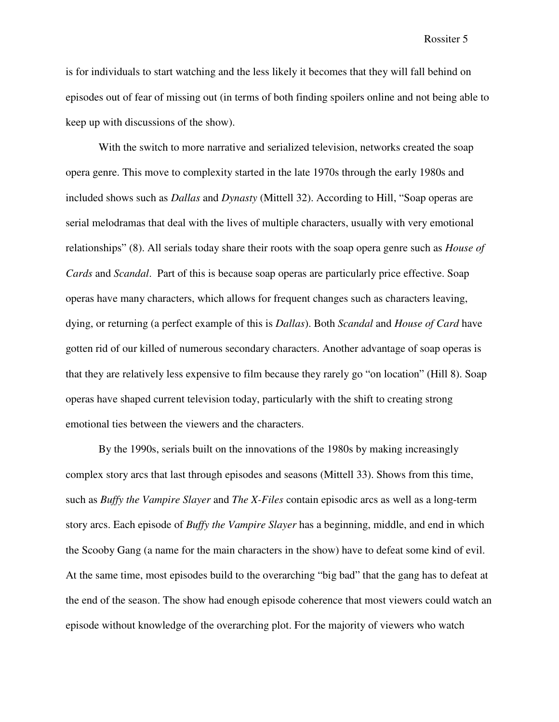is for individuals to start watching and the less likely it becomes that they will fall behind on episodes out of fear of missing out (in terms of both finding spoilers online and not being able to keep up with discussions of the show).

With the switch to more narrative and serialized television, networks created the soap opera genre. This move to complexity started in the late 1970s through the early 1980s and included shows such as *Dallas* and *Dynasty* (Mittell 32). According to Hill, "Soap operas are serial melodramas that deal with the lives of multiple characters, usually with very emotional relationships" (8). All serials today share their roots with the soap opera genre such as *House of Cards* and *Scandal*. Part of this is because soap operas are particularly price effective. Soap operas have many characters, which allows for frequent changes such as characters leaving, dying, or returning (a perfect example of this is *Dallas*). Both *Scandal* and *House of Card* have gotten rid of our killed of numerous secondary characters. Another advantage of soap operas is that they are relatively less expensive to film because they rarely go "on location" (Hill 8). Soap operas have shaped current television today, particularly with the shift to creating strong emotional ties between the viewers and the characters.

 By the 1990s, serials built on the innovations of the 1980s by making increasingly complex story arcs that last through episodes and seasons (Mittell 33). Shows from this time, such as *Buffy the Vampire Slayer* and *The X-Files* contain episodic arcs as well as a long-term story arcs. Each episode of *Buffy the Vampire Slayer* has a beginning, middle, and end in which the Scooby Gang (a name for the main characters in the show) have to defeat some kind of evil. At the same time, most episodes build to the overarching "big bad" that the gang has to defeat at the end of the season. The show had enough episode coherence that most viewers could watch an episode without knowledge of the overarching plot. For the majority of viewers who watch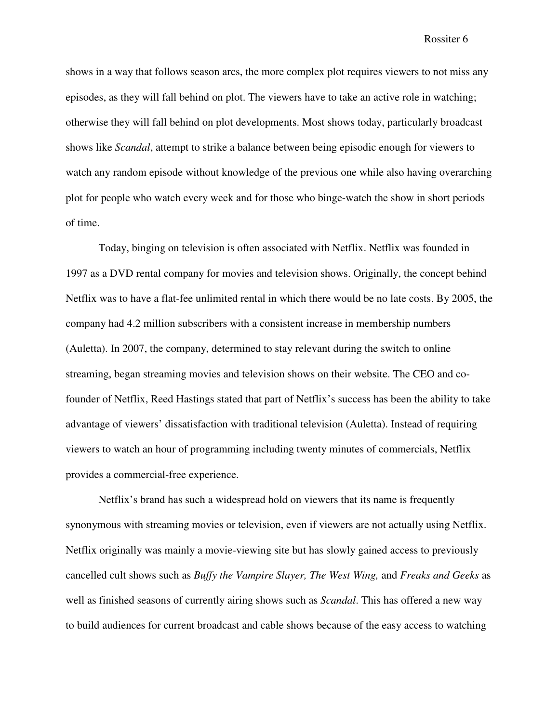shows in a way that follows season arcs, the more complex plot requires viewers to not miss any episodes, as they will fall behind on plot. The viewers have to take an active role in watching; otherwise they will fall behind on plot developments. Most shows today, particularly broadcast shows like *Scandal*, attempt to strike a balance between being episodic enough for viewers to watch any random episode without knowledge of the previous one while also having overarching plot for people who watch every week and for those who binge-watch the show in short periods of time.

Today, binging on television is often associated with Netflix. Netflix was founded in 1997 as a DVD rental company for movies and television shows. Originally, the concept behind Netflix was to have a flat-fee unlimited rental in which there would be no late costs. By 2005, the company had 4.2 million subscribers with a consistent increase in membership numbers (Auletta). In 2007, the company, determined to stay relevant during the switch to online streaming, began streaming movies and television shows on their website. The CEO and cofounder of Netflix, Reed Hastings stated that part of Netflix's success has been the ability to take advantage of viewers' dissatisfaction with traditional television (Auletta). Instead of requiring viewers to watch an hour of programming including twenty minutes of commercials, Netflix provides a commercial-free experience.

 Netflix's brand has such a widespread hold on viewers that its name is frequently synonymous with streaming movies or television, even if viewers are not actually using Netflix. Netflix originally was mainly a movie-viewing site but has slowly gained access to previously cancelled cult shows such as *Buffy the Vampire Slayer, The West Wing,* and *Freaks and Geeks* as well as finished seasons of currently airing shows such as *Scandal*. This has offered a new way to build audiences for current broadcast and cable shows because of the easy access to watching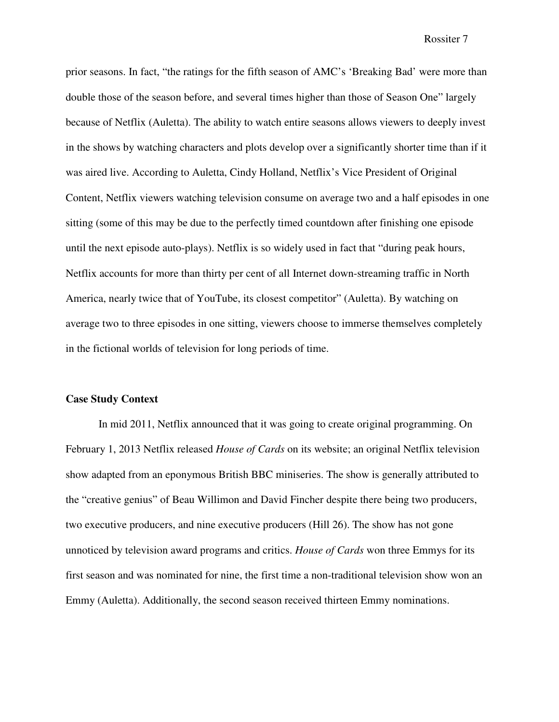prior seasons. In fact, "the ratings for the fifth season of AMC's 'Breaking Bad' were more than double those of the season before, and several times higher than those of Season One" largely because of Netflix (Auletta). The ability to watch entire seasons allows viewers to deeply invest in the shows by watching characters and plots develop over a significantly shorter time than if it was aired live. According to Auletta, Cindy Holland, Netflix's Vice President of Original Content, Netflix viewers watching television consume on average two and a half episodes in one sitting (some of this may be due to the perfectly timed countdown after finishing one episode until the next episode auto-plays). Netflix is so widely used in fact that "during peak hours, Netflix accounts for more than thirty per cent of all Internet down-streaming traffic in North America, nearly twice that of YouTube, its closest competitor" (Auletta). By watching on average two to three episodes in one sitting, viewers choose to immerse themselves completely in the fictional worlds of television for long periods of time.

### **Case Study Context**

 In mid 2011, Netflix announced that it was going to create original programming. On February 1, 2013 Netflix released *House of Cards* on its website; an original Netflix television show adapted from an eponymous British BBC miniseries. The show is generally attributed to the "creative genius" of Beau Willimon and David Fincher despite there being two producers, two executive producers, and nine executive producers (Hill 26). The show has not gone unnoticed by television award programs and critics. *House of Cards* won three Emmys for its first season and was nominated for nine, the first time a non-traditional television show won an Emmy (Auletta). Additionally, the second season received thirteen Emmy nominations.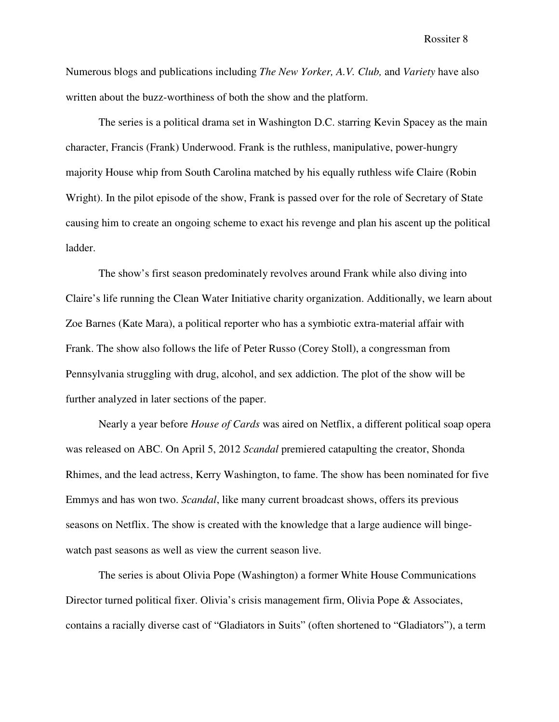Numerous blogs and publications including *The New Yorker, A.V. Club,* and *Variety* have also written about the buzz-worthiness of both the show and the platform.

The series is a political drama set in Washington D.C. starring Kevin Spacey as the main character, Francis (Frank) Underwood. Frank is the ruthless, manipulative, power-hungry majority House whip from South Carolina matched by his equally ruthless wife Claire (Robin Wright). In the pilot episode of the show, Frank is passed over for the role of Secretary of State causing him to create an ongoing scheme to exact his revenge and plan his ascent up the political ladder.

The show's first season predominately revolves around Frank while also diving into Claire's life running the Clean Water Initiative charity organization. Additionally, we learn about Zoe Barnes (Kate Mara), a political reporter who has a symbiotic extra-material affair with Frank. The show also follows the life of Peter Russo (Corey Stoll), a congressman from Pennsylvania struggling with drug, alcohol, and sex addiction. The plot of the show will be further analyzed in later sections of the paper.

Nearly a year before *House of Cards* was aired on Netflix, a different political soap opera was released on ABC. On April 5, 2012 *Scandal* premiered catapulting the creator, Shonda Rhimes, and the lead actress, Kerry Washington, to fame. The show has been nominated for five Emmys and has won two. *Scandal*, like many current broadcast shows, offers its previous seasons on Netflix. The show is created with the knowledge that a large audience will bingewatch past seasons as well as view the current season live.

 The series is about Olivia Pope (Washington) a former White House Communications Director turned political fixer. Olivia's crisis management firm, Olivia Pope & Associates, contains a racially diverse cast of "Gladiators in Suits" (often shortened to "Gladiators"), a term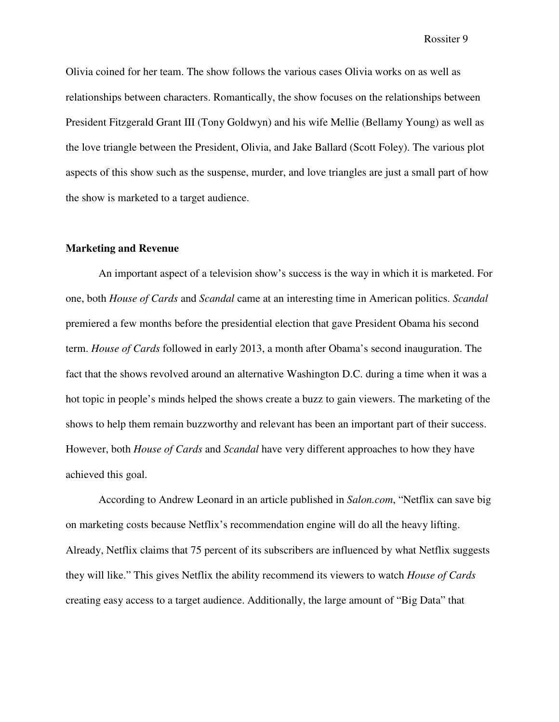Olivia coined for her team. The show follows the various cases Olivia works on as well as relationships between characters. Romantically, the show focuses on the relationships between President Fitzgerald Grant III (Tony Goldwyn) and his wife Mellie (Bellamy Young) as well as the love triangle between the President, Olivia, and Jake Ballard (Scott Foley). The various plot aspects of this show such as the suspense, murder, and love triangles are just a small part of how the show is marketed to a target audience.

## **Marketing and Revenue**

 An important aspect of a television show's success is the way in which it is marketed. For one, both *House of Cards* and *Scandal* came at an interesting time in American politics. *Scandal* premiered a few months before the presidential election that gave President Obama his second term. *House of Cards* followed in early 2013, a month after Obama's second inauguration. The fact that the shows revolved around an alternative Washington D.C. during a time when it was a hot topic in people's minds helped the shows create a buzz to gain viewers. The marketing of the shows to help them remain buzzworthy and relevant has been an important part of their success. However, both *House of Cards* and *Scandal* have very different approaches to how they have achieved this goal.

According to Andrew Leonard in an article published in *Salon.com*, "Netflix can save big on marketing costs because Netflix's recommendation engine will do all the heavy lifting. Already, Netflix claims that 75 percent of its subscribers are influenced by what Netflix suggests they will like." This gives Netflix the ability recommend its viewers to watch *House of Cards* creating easy access to a target audience. Additionally, the large amount of "Big Data" that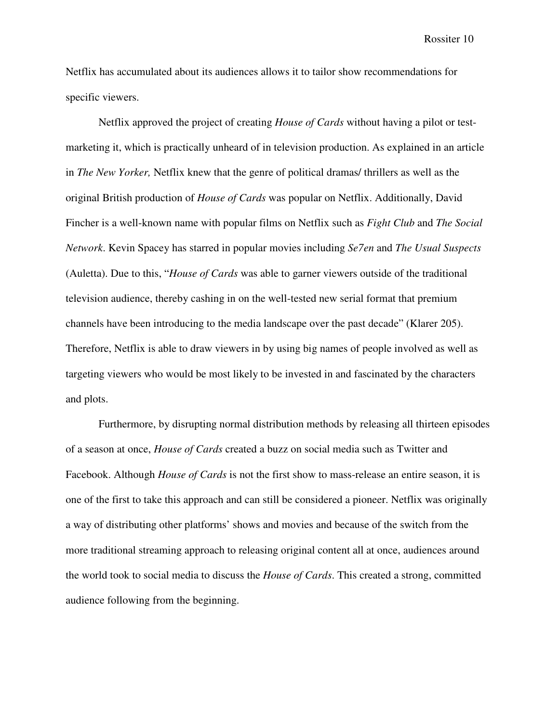Netflix has accumulated about its audiences allows it to tailor show recommendations for specific viewers.

Netflix approved the project of creating *House of Cards* without having a pilot or testmarketing it, which is practically unheard of in television production. As explained in an article in *The New Yorker,* Netflix knew that the genre of political dramas/ thrillers as well as the original British production of *House of Cards* was popular on Netflix. Additionally, David Fincher is a well-known name with popular films on Netflix such as *Fight Club* and *The Social Network*. Kevin Spacey has starred in popular movies including *Se7en* and *The Usual Suspects* (Auletta). Due to this, "*House of Cards* was able to garner viewers outside of the traditional television audience, thereby cashing in on the well-tested new serial format that premium channels have been introducing to the media landscape over the past decade" (Klarer 205). Therefore, Netflix is able to draw viewers in by using big names of people involved as well as targeting viewers who would be most likely to be invested in and fascinated by the characters and plots.

Furthermore, by disrupting normal distribution methods by releasing all thirteen episodes of a season at once, *House of Cards* created a buzz on social media such as Twitter and Facebook. Although *House of Cards* is not the first show to mass-release an entire season, it is one of the first to take this approach and can still be considered a pioneer. Netflix was originally a way of distributing other platforms' shows and movies and because of the switch from the more traditional streaming approach to releasing original content all at once, audiences around the world took to social media to discuss the *House of Cards*. This created a strong, committed audience following from the beginning.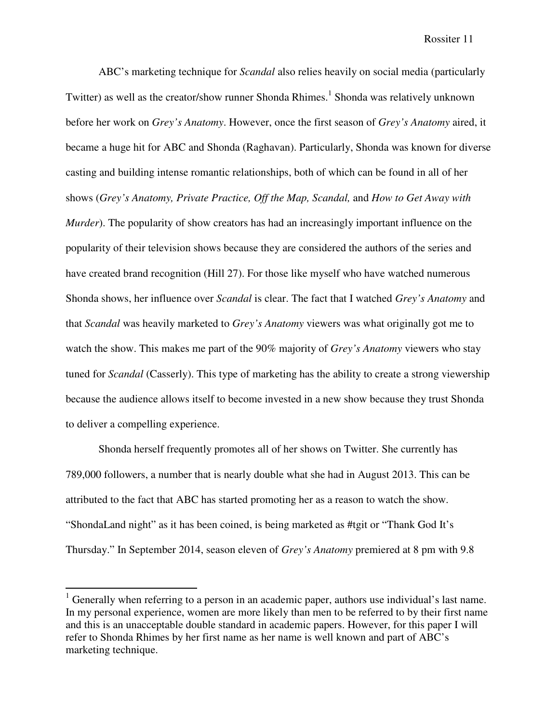ABC's marketing technique for *Scandal* also relies heavily on social media (particularly Twitter) as well as the creator/show runner Shonda Rhimes.<sup>1</sup> Shonda was relatively unknown before her work on *Grey's Anatomy*. However, once the first season of *Grey's Anatomy* aired, it became a huge hit for ABC and Shonda (Raghavan). Particularly, Shonda was known for diverse casting and building intense romantic relationships, both of which can be found in all of her shows (*Grey's Anatomy, Private Practice, Off the Map, Scandal,* and *How to Get Away with Murder*). The popularity of show creators has had an increasingly important influence on the popularity of their television shows because they are considered the authors of the series and have created brand recognition (Hill 27). For those like myself who have watched numerous Shonda shows, her influence over *Scandal* is clear. The fact that I watched *Grey's Anatomy* and that *Scandal* was heavily marketed to *Grey's Anatomy* viewers was what originally got me to watch the show. This makes me part of the 90% majority of *Grey's Anatomy* viewers who stay tuned for *Scandal* (Casserly). This type of marketing has the ability to create a strong viewership because the audience allows itself to become invested in a new show because they trust Shonda to deliver a compelling experience.

Shonda herself frequently promotes all of her shows on Twitter. She currently has 789,000 followers, a number that is nearly double what she had in August 2013. This can be attributed to the fact that ABC has started promoting her as a reason to watch the show. "ShondaLand night" as it has been coined, is being marketed as #tgit or "Thank God It's Thursday." In September 2014, season eleven of *Grey's Anatomy* premiered at 8 pm with 9.8

-

 $1$  Generally when referring to a person in an academic paper, authors use individual's last name. In my personal experience, women are more likely than men to be referred to by their first name and this is an unacceptable double standard in academic papers. However, for this paper I will refer to Shonda Rhimes by her first name as her name is well known and part of ABC's marketing technique.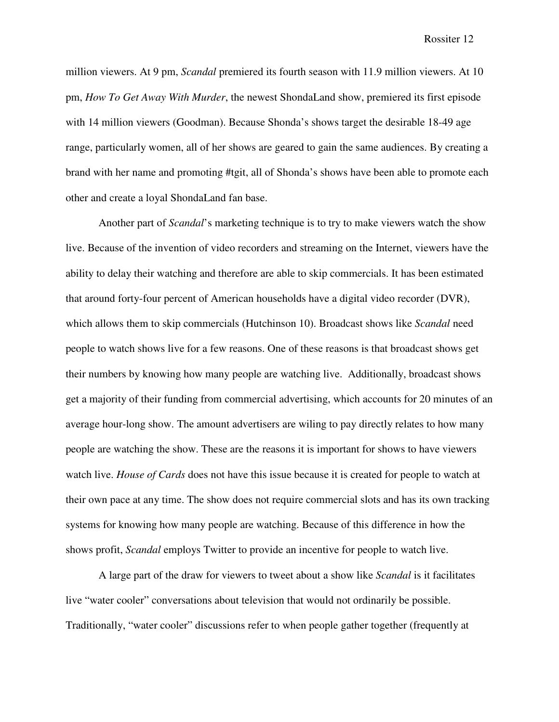million viewers. At 9 pm, *Scandal* premiered its fourth season with 11.9 million viewers. At 10 pm, *How To Get Away With Murder*, the newest ShondaLand show, premiered its first episode with 14 million viewers (Goodman). Because Shonda's shows target the desirable 18-49 age range, particularly women, all of her shows are geared to gain the same audiences. By creating a brand with her name and promoting #tgit, all of Shonda's shows have been able to promote each other and create a loyal ShondaLand fan base.

Another part of *Scandal*'s marketing technique is to try to make viewers watch the show live. Because of the invention of video recorders and streaming on the Internet, viewers have the ability to delay their watching and therefore are able to skip commercials. It has been estimated that around forty-four percent of American households have a digital video recorder (DVR), which allows them to skip commercials (Hutchinson 10). Broadcast shows like *Scandal* need people to watch shows live for a few reasons. One of these reasons is that broadcast shows get their numbers by knowing how many people are watching live. Additionally, broadcast shows get a majority of their funding from commercial advertising, which accounts for 20 minutes of an average hour-long show. The amount advertisers are wiling to pay directly relates to how many people are watching the show. These are the reasons it is important for shows to have viewers watch live. *House of Cards* does not have this issue because it is created for people to watch at their own pace at any time. The show does not require commercial slots and has its own tracking systems for knowing how many people are watching. Because of this difference in how the shows profit, *Scandal* employs Twitter to provide an incentive for people to watch live.

 A large part of the draw for viewers to tweet about a show like *Scandal* is it facilitates live "water cooler" conversations about television that would not ordinarily be possible. Traditionally, "water cooler" discussions refer to when people gather together (frequently at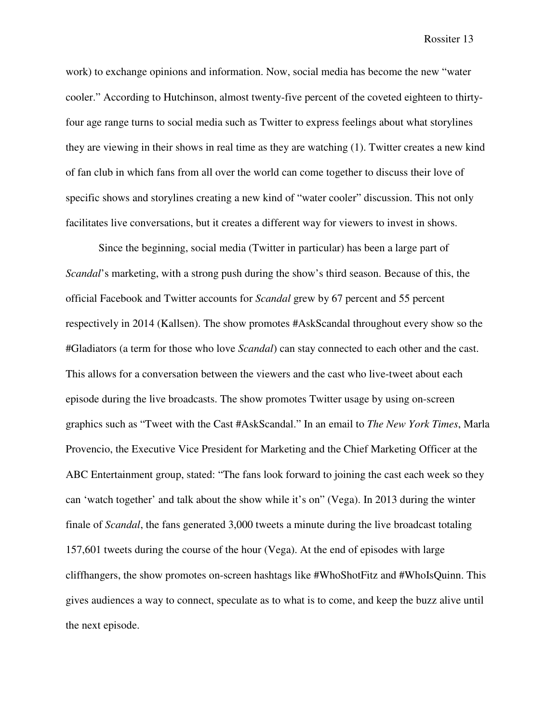work) to exchange opinions and information. Now, social media has become the new "water cooler." According to Hutchinson, almost twenty-five percent of the coveted eighteen to thirtyfour age range turns to social media such as Twitter to express feelings about what storylines they are viewing in their shows in real time as they are watching (1). Twitter creates a new kind of fan club in which fans from all over the world can come together to discuss their love of specific shows and storylines creating a new kind of "water cooler" discussion. This not only facilitates live conversations, but it creates a different way for viewers to invest in shows.

Since the beginning, social media (Twitter in particular) has been a large part of *Scandal*'s marketing, with a strong push during the show's third season. Because of this, the official Facebook and Twitter accounts for *Scandal* grew by 67 percent and 55 percent respectively in 2014 (Kallsen). The show promotes #AskScandal throughout every show so the #Gladiators (a term for those who love *Scandal*) can stay connected to each other and the cast. This allows for a conversation between the viewers and the cast who live-tweet about each episode during the live broadcasts. The show promotes Twitter usage by using on-screen graphics such as "Tweet with the Cast #AskScandal." In an email to *The New York Times*, Marla Provencio, the Executive Vice President for Marketing and the Chief Marketing Officer at the ABC Entertainment group, stated: "The fans look forward to joining the cast each week so they can 'watch together' and talk about the show while it's on" (Vega). In 2013 during the winter finale of *Scandal*, the fans generated 3,000 tweets a minute during the live broadcast totaling 157,601 tweets during the course of the hour (Vega). At the end of episodes with large cliffhangers, the show promotes on-screen hashtags like #WhoShotFitz and #WhoIsQuinn. This gives audiences a way to connect, speculate as to what is to come, and keep the buzz alive until the next episode.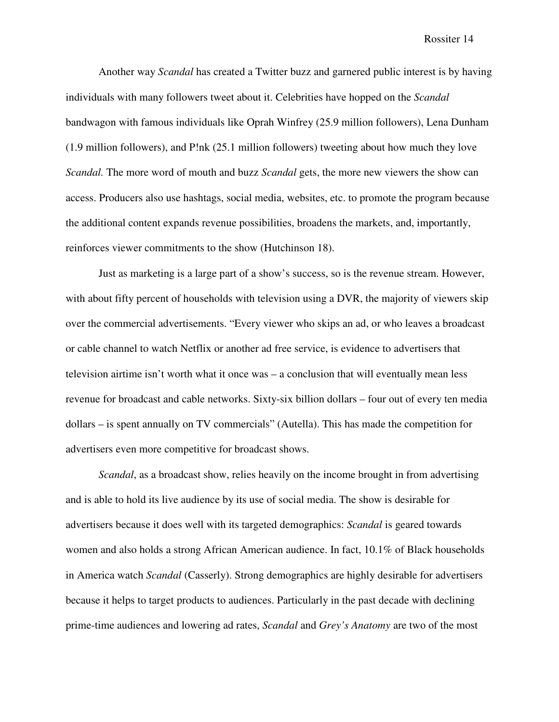Another way *Scandal* has created a Twitter buzz and garnered public interest is by having individuals with many followers tweet about it. Celebrities have hopped on the *Scandal* bandwagon with famous individuals like Oprah Winfrey (25.9 million followers), Lena Dunham (1.9 million followers), and P!nk (25.1 million followers) tweeting about how much they love *Scandal.* The more word of mouth and buzz *Scandal* gets, the more new viewers the show can access. Producers also use hashtags, social media, websites, etc. to promote the program because the additional content expands revenue possibilities, broadens the markets, and, importantly, reinforces viewer commitments to the show (Hutchinson 18).

Just as marketing is a large part of a show's success, so is the revenue stream. However, with about fifty percent of households with television using a DVR, the majority of viewers skip over the commercial advertisements. "Every viewer who skips an ad, or who leaves a broadcast or cable channel to watch Netflix or another ad free service, is evidence to advertisers that television airtime isn't worth what it once was – a conclusion that will eventually mean less revenue for broadcast and cable networks. Sixty-six billion dollars – four out of every ten media dollars – is spent annually on TV commercials" (Autella). This has made the competition for advertisers even more competitive for broadcast shows.

*Scandal*, as a broadcast show, relies heavily on the income brought in from advertising and is able to hold its live audience by its use of social media. The show is desirable for advertisers because it does well with its targeted demographics: *Scandal* is geared towards women and also holds a strong African American audience. In fact, 10.1% of Black households in America watch *Scandal* (Casserly). Strong demographics are highly desirable for advertisers because it helps to target products to audiences. Particularly in the past decade with declining prime-time audiences and lowering ad rates, *Scandal* and *Grey's Anatomy* are two of the most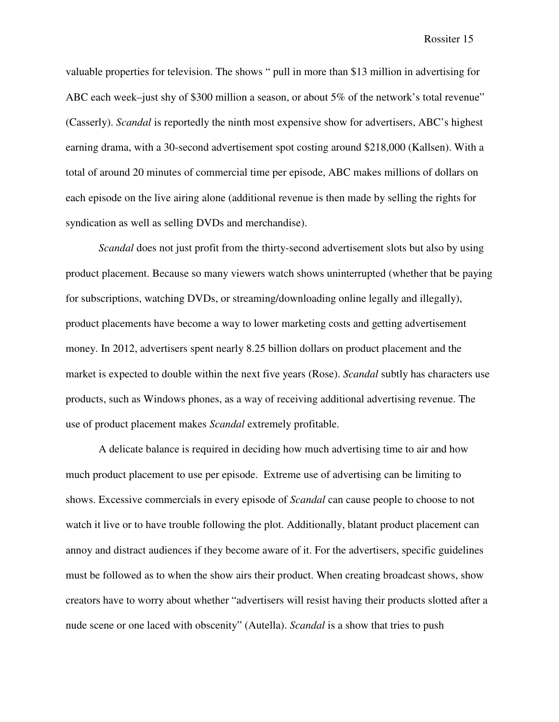valuable properties for television. The shows " pull in more than \$13 million in advertising for ABC each week–just shy of \$300 million a season, or about 5% of the network's total revenue" (Casserly). *Scandal* is reportedly the ninth most expensive show for advertisers, ABC's highest earning drama, with a 30-second advertisement spot costing around \$218,000 (Kallsen). With a total of around 20 minutes of commercial time per episode, ABC makes millions of dollars on each episode on the live airing alone (additional revenue is then made by selling the rights for syndication as well as selling DVDs and merchandise).

*Scandal* does not just profit from the thirty-second advertisement slots but also by using product placement. Because so many viewers watch shows uninterrupted (whether that be paying for subscriptions, watching DVDs, or streaming/downloading online legally and illegally), product placements have become a way to lower marketing costs and getting advertisement money. In 2012, advertisers spent nearly 8.25 billion dollars on product placement and the market is expected to double within the next five years (Rose). *Scandal* subtly has characters use products, such as Windows phones, as a way of receiving additional advertising revenue. The use of product placement makes *Scandal* extremely profitable.

A delicate balance is required in deciding how much advertising time to air and how much product placement to use per episode. Extreme use of advertising can be limiting to shows. Excessive commercials in every episode of *Scandal* can cause people to choose to not watch it live or to have trouble following the plot. Additionally, blatant product placement can annoy and distract audiences if they become aware of it. For the advertisers, specific guidelines must be followed as to when the show airs their product. When creating broadcast shows, show creators have to worry about whether "advertisers will resist having their products slotted after a nude scene or one laced with obscenity" (Autella). *Scandal* is a show that tries to push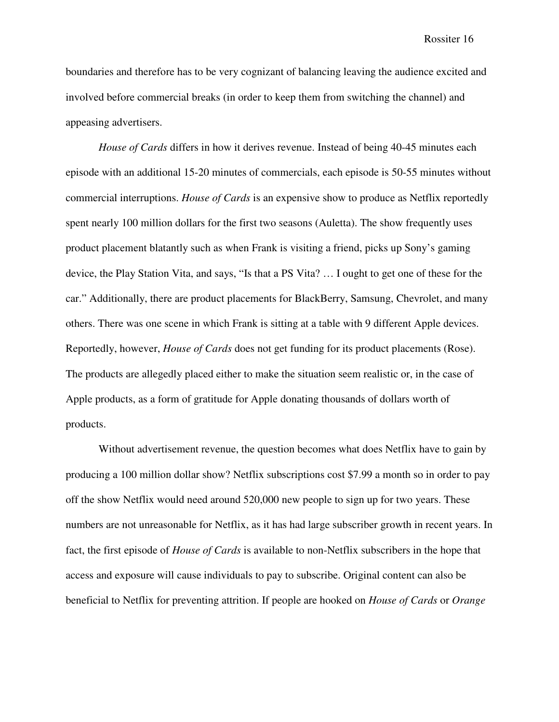boundaries and therefore has to be very cognizant of balancing leaving the audience excited and involved before commercial breaks (in order to keep them from switching the channel) and appeasing advertisers.

*House of Cards* differs in how it derives revenue. Instead of being 40-45 minutes each episode with an additional 15-20 minutes of commercials, each episode is 50-55 minutes without commercial interruptions. *House of Cards* is an expensive show to produce as Netflix reportedly spent nearly 100 million dollars for the first two seasons (Auletta). The show frequently uses product placement blatantly such as when Frank is visiting a friend, picks up Sony's gaming device, the Play Station Vita, and says, "Is that a PS Vita? … I ought to get one of these for the car." Additionally, there are product placements for BlackBerry, Samsung, Chevrolet, and many others. There was one scene in which Frank is sitting at a table with 9 different Apple devices. Reportedly, however, *House of Cards* does not get funding for its product placements (Rose). The products are allegedly placed either to make the situation seem realistic or, in the case of Apple products, as a form of gratitude for Apple donating thousands of dollars worth of products.

Without advertisement revenue, the question becomes what does Netflix have to gain by producing a 100 million dollar show? Netflix subscriptions cost \$7.99 a month so in order to pay off the show Netflix would need around 520,000 new people to sign up for two years. These numbers are not unreasonable for Netflix, as it has had large subscriber growth in recent years. In fact, the first episode of *House of Cards* is available to non-Netflix subscribers in the hope that access and exposure will cause individuals to pay to subscribe. Original content can also be beneficial to Netflix for preventing attrition. If people are hooked on *House of Cards* or *Orange*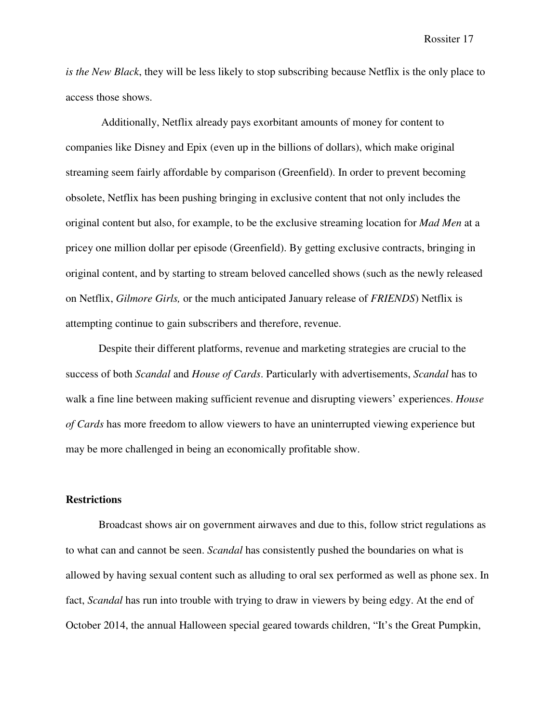*is the New Black*, they will be less likely to stop subscribing because Netflix is the only place to access those shows.

 Additionally, Netflix already pays exorbitant amounts of money for content to companies like Disney and Epix (even up in the billions of dollars), which make original streaming seem fairly affordable by comparison (Greenfield). In order to prevent becoming obsolete, Netflix has been pushing bringing in exclusive content that not only includes the original content but also, for example, to be the exclusive streaming location for *Mad Men* at a pricey one million dollar per episode (Greenfield). By getting exclusive contracts, bringing in original content, and by starting to stream beloved cancelled shows (such as the newly released on Netflix, *Gilmore Girls,* or the much anticipated January release of *FRIENDS*) Netflix is attempting continue to gain subscribers and therefore, revenue.

Despite their different platforms, revenue and marketing strategies are crucial to the success of both *Scandal* and *House of Cards*. Particularly with advertisements, *Scandal* has to walk a fine line between making sufficient revenue and disrupting viewers' experiences. *House of Cards* has more freedom to allow viewers to have an uninterrupted viewing experience but may be more challenged in being an economically profitable show.

## **Restrictions**

Broadcast shows air on government airwaves and due to this, follow strict regulations as to what can and cannot be seen. *Scandal* has consistently pushed the boundaries on what is allowed by having sexual content such as alluding to oral sex performed as well as phone sex. In fact, *Scandal* has run into trouble with trying to draw in viewers by being edgy. At the end of October 2014, the annual Halloween special geared towards children, "It's the Great Pumpkin,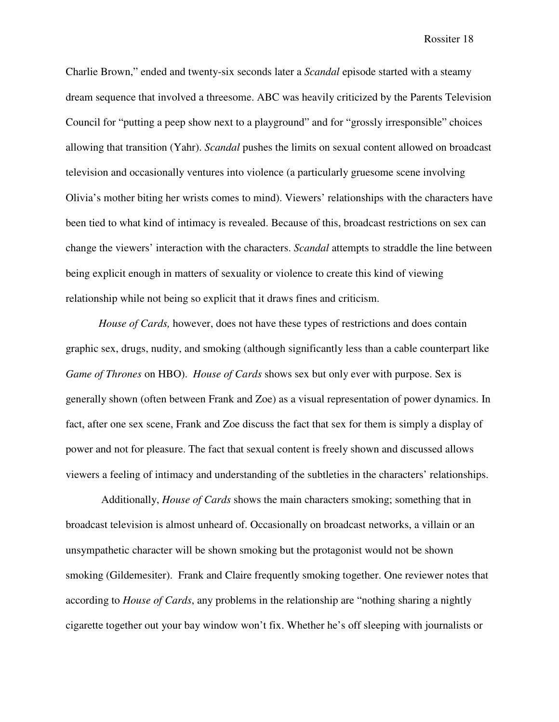Charlie Brown," ended and twenty-six seconds later a *Scandal* episode started with a steamy dream sequence that involved a threesome. ABC was heavily criticized by the Parents Television Council for "putting a peep show next to a playground" and for "grossly irresponsible" choices allowing that transition (Yahr). *Scandal* pushes the limits on sexual content allowed on broadcast television and occasionally ventures into violence (a particularly gruesome scene involving Olivia's mother biting her wrists comes to mind). Viewers' relationships with the characters have been tied to what kind of intimacy is revealed. Because of this, broadcast restrictions on sex can change the viewers' interaction with the characters. *Scandal* attempts to straddle the line between being explicit enough in matters of sexuality or violence to create this kind of viewing relationship while not being so explicit that it draws fines and criticism.

*House of Cards, however, does not have these types of restrictions and does contain* graphic sex, drugs, nudity, and smoking (although significantly less than a cable counterpart like *Game of Thrones* on HBO). *House of Cards* shows sex but only ever with purpose. Sex is generally shown (often between Frank and Zoe) as a visual representation of power dynamics. In fact, after one sex scene, Frank and Zoe discuss the fact that sex for them is simply a display of power and not for pleasure. The fact that sexual content is freely shown and discussed allows viewers a feeling of intimacy and understanding of the subtleties in the characters' relationships.

 Additionally, *House of Cards* shows the main characters smoking; something that in broadcast television is almost unheard of. Occasionally on broadcast networks, a villain or an unsympathetic character will be shown smoking but the protagonist would not be shown smoking (Gildemesiter). Frank and Claire frequently smoking together. One reviewer notes that according to *House of Cards*, any problems in the relationship are "nothing sharing a nightly cigarette together out your bay window won't fix. Whether he's off sleeping with journalists or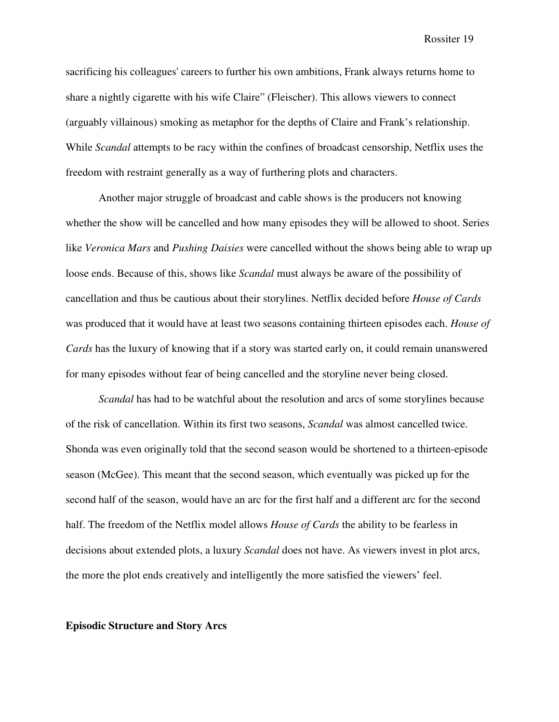sacrificing his colleagues' careers to further his own ambitions, Frank always returns home to share a nightly cigarette with his wife Claire" (Fleischer). This allows viewers to connect (arguably villainous) smoking as metaphor for the depths of Claire and Frank's relationship. While *Scandal* attempts to be racy within the confines of broadcast censorship, Netflix uses the freedom with restraint generally as a way of furthering plots and characters.

 Another major struggle of broadcast and cable shows is the producers not knowing whether the show will be cancelled and how many episodes they will be allowed to shoot. Series like *Veronica Mars* and *Pushing Daisies* were cancelled without the shows being able to wrap up loose ends. Because of this, shows like *Scandal* must always be aware of the possibility of cancellation and thus be cautious about their storylines. Netflix decided before *House of Cards* was produced that it would have at least two seasons containing thirteen episodes each. *House of Cards* has the luxury of knowing that if a story was started early on, it could remain unanswered for many episodes without fear of being cancelled and the storyline never being closed.

*Scandal* has had to be watchful about the resolution and arcs of some storylines because of the risk of cancellation. Within its first two seasons, *Scandal* was almost cancelled twice. Shonda was even originally told that the second season would be shortened to a thirteen-episode season (McGee). This meant that the second season, which eventually was picked up for the second half of the season, would have an arc for the first half and a different arc for the second half. The freedom of the Netflix model allows *House of Cards* the ability to be fearless in decisions about extended plots, a luxury *Scandal* does not have. As viewers invest in plot arcs, the more the plot ends creatively and intelligently the more satisfied the viewers' feel.

#### **Episodic Structure and Story Arcs**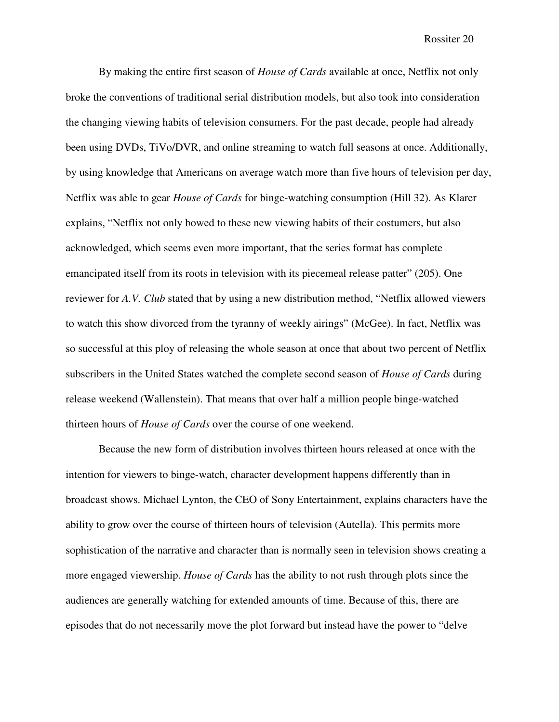By making the entire first season of *House of Cards* available at once, Netflix not only broke the conventions of traditional serial distribution models, but also took into consideration the changing viewing habits of television consumers. For the past decade, people had already been using DVDs, TiVo/DVR, and online streaming to watch full seasons at once. Additionally, by using knowledge that Americans on average watch more than five hours of television per day, Netflix was able to gear *House of Cards* for binge-watching consumption (Hill 32). As Klarer explains, "Netflix not only bowed to these new viewing habits of their costumers, but also acknowledged, which seems even more important, that the series format has complete emancipated itself from its roots in television with its piecemeal release patter" (205). One reviewer for *A.V. Club* stated that by using a new distribution method, "Netflix allowed viewers to watch this show divorced from the tyranny of weekly airings" (McGee). In fact, Netflix was so successful at this ploy of releasing the whole season at once that about two percent of Netflix subscribers in the United States watched the complete second season of *House of Cards* during release weekend (Wallenstein). That means that over half a million people binge-watched thirteen hours of *House of Cards* over the course of one weekend.

 Because the new form of distribution involves thirteen hours released at once with the intention for viewers to binge-watch, character development happens differently than in broadcast shows. Michael Lynton, the CEO of Sony Entertainment, explains characters have the ability to grow over the course of thirteen hours of television (Autella). This permits more sophistication of the narrative and character than is normally seen in television shows creating a more engaged viewership. *House of Cards* has the ability to not rush through plots since the audiences are generally watching for extended amounts of time. Because of this, there are episodes that do not necessarily move the plot forward but instead have the power to "delve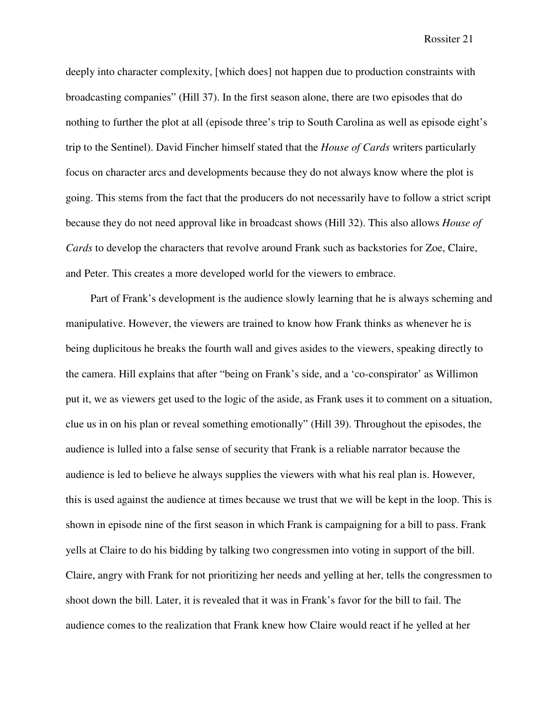deeply into character complexity, [which does] not happen due to production constraints with broadcasting companies" (Hill 37). In the first season alone, there are two episodes that do nothing to further the plot at all (episode three's trip to South Carolina as well as episode eight's trip to the Sentinel). David Fincher himself stated that the *House of Cards* writers particularly focus on character arcs and developments because they do not always know where the plot is going. This stems from the fact that the producers do not necessarily have to follow a strict script because they do not need approval like in broadcast shows (Hill 32). This also allows *House of Cards* to develop the characters that revolve around Frank such as backstories for Zoe, Claire, and Peter. This creates a more developed world for the viewers to embrace.

Part of Frank's development is the audience slowly learning that he is always scheming and manipulative. However, the viewers are trained to know how Frank thinks as whenever he is being duplicitous he breaks the fourth wall and gives asides to the viewers, speaking directly to the camera. Hill explains that after "being on Frank's side, and a 'co-conspirator' as Willimon put it, we as viewers get used to the logic of the aside, as Frank uses it to comment on a situation, clue us in on his plan or reveal something emotionally" (Hill 39). Throughout the episodes, the audience is lulled into a false sense of security that Frank is a reliable narrator because the audience is led to believe he always supplies the viewers with what his real plan is. However, this is used against the audience at times because we trust that we will be kept in the loop. This is shown in episode nine of the first season in which Frank is campaigning for a bill to pass. Frank yells at Claire to do his bidding by talking two congressmen into voting in support of the bill. Claire, angry with Frank for not prioritizing her needs and yelling at her, tells the congressmen to shoot down the bill. Later, it is revealed that it was in Frank's favor for the bill to fail. The audience comes to the realization that Frank knew how Claire would react if he yelled at her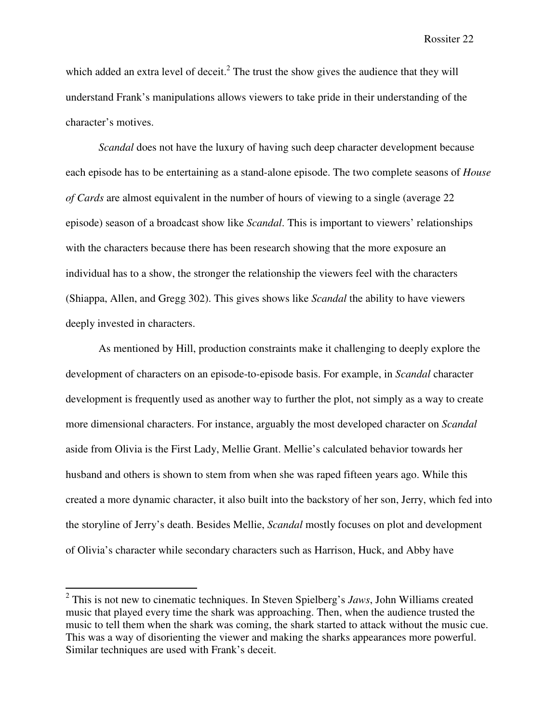which added an extra level of deceit.<sup>2</sup> The trust the show gives the audience that they will understand Frank's manipulations allows viewers to take pride in their understanding of the character's motives.

 *Scandal* does not have the luxury of having such deep character development because each episode has to be entertaining as a stand-alone episode. The two complete seasons of *House of Cards* are almost equivalent in the number of hours of viewing to a single (average 22 episode) season of a broadcast show like *Scandal*. This is important to viewers' relationships with the characters because there has been research showing that the more exposure an individual has to a show, the stronger the relationship the viewers feel with the characters (Shiappa, Allen, and Gregg 302). This gives shows like *Scandal* the ability to have viewers deeply invested in characters.

 As mentioned by Hill, production constraints make it challenging to deeply explore the development of characters on an episode-to-episode basis. For example, in *Scandal* character development is frequently used as another way to further the plot, not simply as a way to create more dimensional characters. For instance, arguably the most developed character on *Scandal*  aside from Olivia is the First Lady, Mellie Grant. Mellie's calculated behavior towards her husband and others is shown to stem from when she was raped fifteen years ago. While this created a more dynamic character, it also built into the backstory of her son, Jerry, which fed into the storyline of Jerry's death. Besides Mellie, *Scandal* mostly focuses on plot and development of Olivia's character while secondary characters such as Harrison, Huck, and Abby have

 2 This is not new to cinematic techniques. In Steven Spielberg's *Jaws*, John Williams created music that played every time the shark was approaching. Then, when the audience trusted the music to tell them when the shark was coming, the shark started to attack without the music cue. This was a way of disorienting the viewer and making the sharks appearances more powerful. Similar techniques are used with Frank's deceit.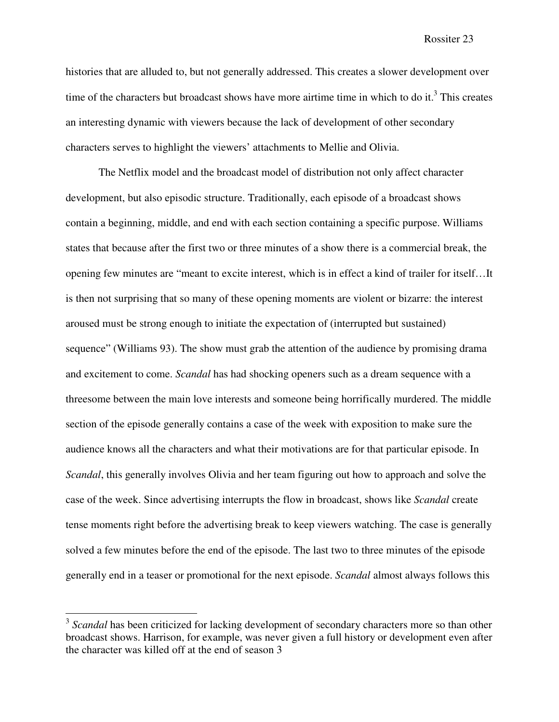histories that are alluded to, but not generally addressed. This creates a slower development over time of the characters but broadcast shows have more airtime time in which to do it.<sup>3</sup> This creates an interesting dynamic with viewers because the lack of development of other secondary characters serves to highlight the viewers' attachments to Mellie and Olivia.

 The Netflix model and the broadcast model of distribution not only affect character development, but also episodic structure. Traditionally, each episode of a broadcast shows contain a beginning, middle, and end with each section containing a specific purpose. Williams states that because after the first two or three minutes of a show there is a commercial break, the opening few minutes are "meant to excite interest, which is in effect a kind of trailer for itself…It is then not surprising that so many of these opening moments are violent or bizarre: the interest aroused must be strong enough to initiate the expectation of (interrupted but sustained) sequence" (Williams 93). The show must grab the attention of the audience by promising drama and excitement to come. *Scandal* has had shocking openers such as a dream sequence with a threesome between the main love interests and someone being horrifically murdered. The middle section of the episode generally contains a case of the week with exposition to make sure the audience knows all the characters and what their motivations are for that particular episode. In *Scandal*, this generally involves Olivia and her team figuring out how to approach and solve the case of the week. Since advertising interrupts the flow in broadcast, shows like *Scandal* create tense moments right before the advertising break to keep viewers watching. The case is generally solved a few minutes before the end of the episode. The last two to three minutes of the episode generally end in a teaser or promotional for the next episode. *Scandal* almost always follows this

<u>.</u>

<sup>&</sup>lt;sup>3</sup> Scandal has been criticized for lacking development of secondary characters more so than other broadcast shows. Harrison, for example, was never given a full history or development even after the character was killed off at the end of season 3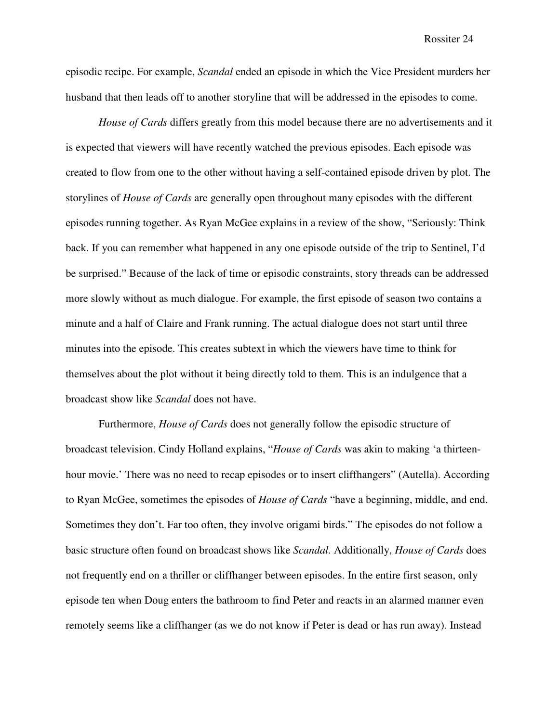episodic recipe. For example, *Scandal* ended an episode in which the Vice President murders her husband that then leads off to another storyline that will be addressed in the episodes to come.

*House of Cards* differs greatly from this model because there are no advertisements and it is expected that viewers will have recently watched the previous episodes. Each episode was created to flow from one to the other without having a self-contained episode driven by plot. The storylines of *House of Cards* are generally open throughout many episodes with the different episodes running together. As Ryan McGee explains in a review of the show, "Seriously: Think back. If you can remember what happened in any one episode outside of the trip to Sentinel, I'd be surprised." Because of the lack of time or episodic constraints, story threads can be addressed more slowly without as much dialogue. For example, the first episode of season two contains a minute and a half of Claire and Frank running. The actual dialogue does not start until three minutes into the episode. This creates subtext in which the viewers have time to think for themselves about the plot without it being directly told to them. This is an indulgence that a broadcast show like *Scandal* does not have.

 Furthermore, *House of Cards* does not generally follow the episodic structure of broadcast television. Cindy Holland explains, "*House of Cards* was akin to making 'a thirteenhour movie.' There was no need to recap episodes or to insert cliffhangers" (Autella). According to Ryan McGee, sometimes the episodes of *House of Cards* "have a beginning, middle, and end. Sometimes they don't. Far too often, they involve origami birds." The episodes do not follow a basic structure often found on broadcast shows like *Scandal.* Additionally, *House of Cards* does not frequently end on a thriller or cliffhanger between episodes. In the entire first season, only episode ten when Doug enters the bathroom to find Peter and reacts in an alarmed manner even remotely seems like a cliffhanger (as we do not know if Peter is dead or has run away). Instead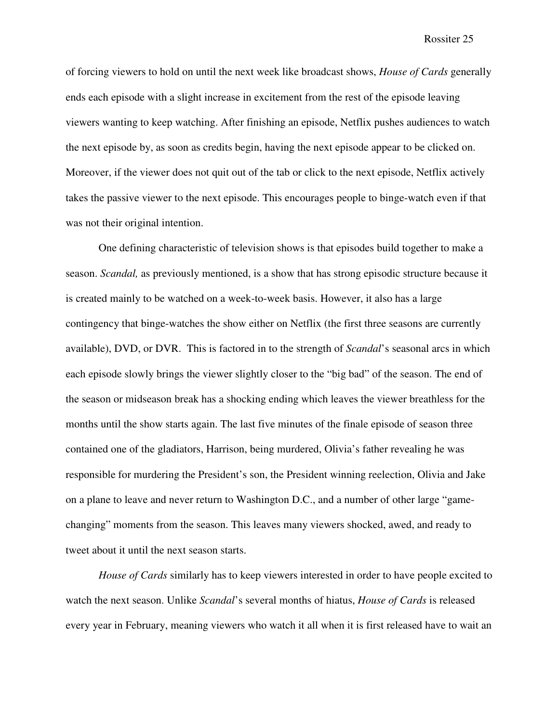of forcing viewers to hold on until the next week like broadcast shows, *House of Cards* generally ends each episode with a slight increase in excitement from the rest of the episode leaving viewers wanting to keep watching. After finishing an episode, Netflix pushes audiences to watch the next episode by, as soon as credits begin, having the next episode appear to be clicked on. Moreover, if the viewer does not quit out of the tab or click to the next episode, Netflix actively takes the passive viewer to the next episode. This encourages people to binge-watch even if that was not their original intention.

One defining characteristic of television shows is that episodes build together to make a season. *Scandal,* as previously mentioned, is a show that has strong episodic structure because it is created mainly to be watched on a week-to-week basis. However, it also has a large contingency that binge-watches the show either on Netflix (the first three seasons are currently available), DVD, or DVR. This is factored in to the strength of *Scandal*'s seasonal arcs in which each episode slowly brings the viewer slightly closer to the "big bad" of the season. The end of the season or midseason break has a shocking ending which leaves the viewer breathless for the months until the show starts again. The last five minutes of the finale episode of season three contained one of the gladiators, Harrison, being murdered, Olivia's father revealing he was responsible for murdering the President's son, the President winning reelection, Olivia and Jake on a plane to leave and never return to Washington D.C., and a number of other large "gamechanging" moments from the season. This leaves many viewers shocked, awed, and ready to tweet about it until the next season starts.

*House of Cards* similarly has to keep viewers interested in order to have people excited to watch the next season. Unlike *Scandal*'s several months of hiatus, *House of Cards* is released every year in February, meaning viewers who watch it all when it is first released have to wait an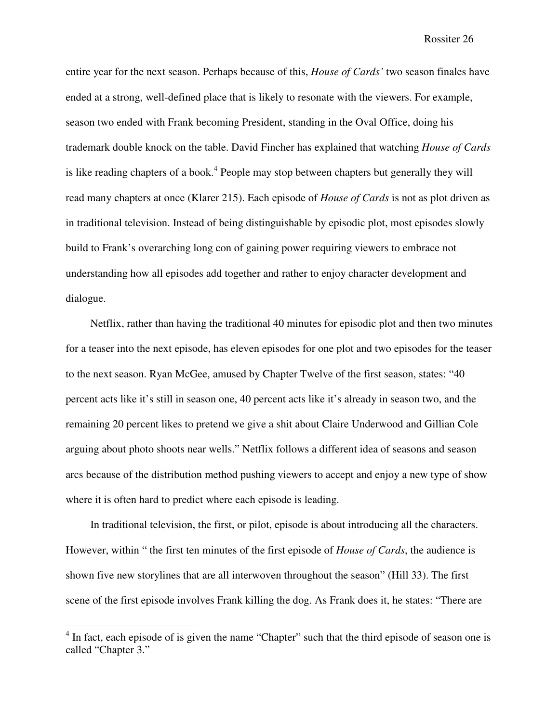entire year for the next season. Perhaps because of this, *House of Cards'* two season finales have ended at a strong, well-defined place that is likely to resonate with the viewers. For example, season two ended with Frank becoming President, standing in the Oval Office, doing his trademark double knock on the table. David Fincher has explained that watching *House of Cards* is like reading chapters of a book.<sup>4</sup> People may stop between chapters but generally they will read many chapters at once (Klarer 215). Each episode of *House of Cards* is not as plot driven as in traditional television. Instead of being distinguishable by episodic plot, most episodes slowly build to Frank's overarching long con of gaining power requiring viewers to embrace not understanding how all episodes add together and rather to enjoy character development and dialogue.

Netflix, rather than having the traditional 40 minutes for episodic plot and then two minutes for a teaser into the next episode, has eleven episodes for one plot and two episodes for the teaser to the next season. Ryan McGee, amused by Chapter Twelve of the first season, states: "40 percent acts like it's still in season one, 40 percent acts like it's already in season two, and the remaining 20 percent likes to pretend we give a shit about Claire Underwood and Gillian Cole arguing about photo shoots near wells." Netflix follows a different idea of seasons and season arcs because of the distribution method pushing viewers to accept and enjoy a new type of show where it is often hard to predict where each episode is leading.

In traditional television, the first, or pilot, episode is about introducing all the characters. However, within " the first ten minutes of the first episode of *House of Cards*, the audience is shown five new storylines that are all interwoven throughout the season" (Hill 33). The first scene of the first episode involves Frank killing the dog. As Frank does it, he states: "There are

<sup>&</sup>lt;sup>4</sup> In fact, each episode of is given the name "Chapter" such that the third episode of season one is called "Chapter 3."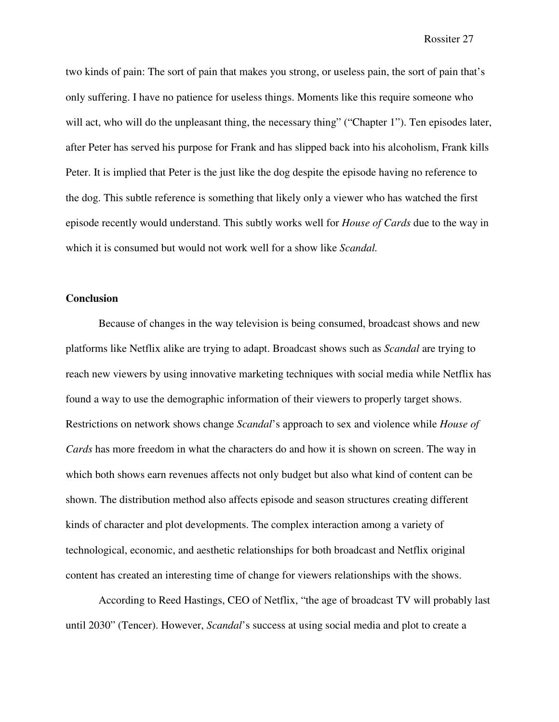two kinds of pain: The sort of pain that makes you strong, or useless pain, the sort of pain that's only suffering. I have no patience for useless things. Moments like this require someone who will act, who will do the unpleasant thing, the necessary thing" ("Chapter 1"). Ten episodes later, after Peter has served his purpose for Frank and has slipped back into his alcoholism, Frank kills Peter. It is implied that Peter is the just like the dog despite the episode having no reference to the dog. This subtle reference is something that likely only a viewer who has watched the first episode recently would understand. This subtly works well for *House of Cards* due to the way in which it is consumed but would not work well for a show like *Scandal.* 

## **Conclusion**

 Because of changes in the way television is being consumed, broadcast shows and new platforms like Netflix alike are trying to adapt. Broadcast shows such as *Scandal* are trying to reach new viewers by using innovative marketing techniques with social media while Netflix has found a way to use the demographic information of their viewers to properly target shows. Restrictions on network shows change *Scandal*'s approach to sex and violence while *House of Cards* has more freedom in what the characters do and how it is shown on screen. The way in which both shows earn revenues affects not only budget but also what kind of content can be shown. The distribution method also affects episode and season structures creating different kinds of character and plot developments. The complex interaction among a variety of technological, economic, and aesthetic relationships for both broadcast and Netflix original content has created an interesting time of change for viewers relationships with the shows.

 According to Reed Hastings, CEO of Netflix, "the age of broadcast TV will probably last until 2030" (Tencer). However, *Scandal*'s success at using social media and plot to create a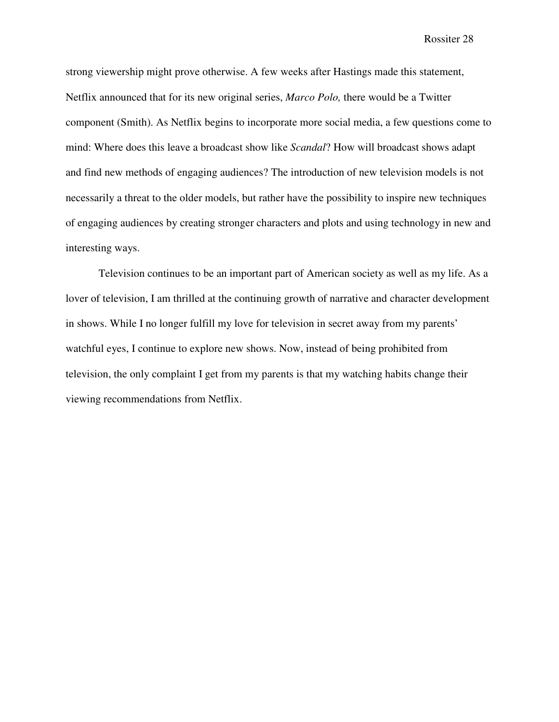strong viewership might prove otherwise. A few weeks after Hastings made this statement, Netflix announced that for its new original series, *Marco Polo,* there would be a Twitter component (Smith). As Netflix begins to incorporate more social media, a few questions come to mind: Where does this leave a broadcast show like *Scandal*? How will broadcast shows adapt and find new methods of engaging audiences? The introduction of new television models is not necessarily a threat to the older models, but rather have the possibility to inspire new techniques of engaging audiences by creating stronger characters and plots and using technology in new and interesting ways.

 Television continues to be an important part of American society as well as my life. As a lover of television, I am thrilled at the continuing growth of narrative and character development in shows. While I no longer fulfill my love for television in secret away from my parents' watchful eyes, I continue to explore new shows. Now, instead of being prohibited from television, the only complaint I get from my parents is that my watching habits change their viewing recommendations from Netflix.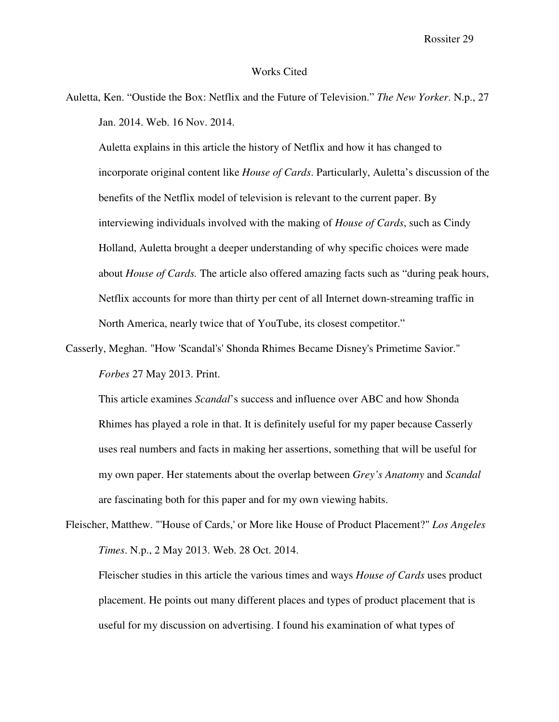#### Works Cited

Auletta, Ken. "Oustide the Box: Netflix and the Future of Television." *The New Yorker*. N.p., 27 Jan. 2014. Web. 16 Nov. 2014.

 Auletta explains in this article the history of Netflix and how it has changed to incorporate original content like *House of Cards*. Particularly, Auletta's discussion of the benefits of the Netflix model of television is relevant to the current paper. By interviewing individuals involved with the making of *House of Cards*, such as Cindy Holland, Auletta brought a deeper understanding of why specific choices were made about *House of Cards.* The article also offered amazing facts such as "during peak hours, Netflix accounts for more than thirty per cent of all Internet down-streaming traffic in North America, nearly twice that of YouTube, its closest competitor."

Casserly, Meghan. "How 'Scandal's' Shonda Rhimes Became Disney's Primetime Savior." *Forbes* 27 May 2013. Print.

 This article examines *Scandal*'s success and influence over ABC and how Shonda Rhimes has played a role in that. It is definitely useful for my paper because Casserly uses real numbers and facts in making her assertions, something that will be useful for my own paper. Her statements about the overlap between *Grey's Anatomy* and *Scandal*  are fascinating both for this paper and for my own viewing habits.

Fleischer, Matthew. "'House of Cards,' or More like House of Product Placement?" *Los Angeles Times*. N.p., 2 May 2013. Web. 28 Oct. 2014.

 Fleischer studies in this article the various times and ways *House of Cards* uses product placement. He points out many different places and types of product placement that is useful for my discussion on advertising. I found his examination of what types of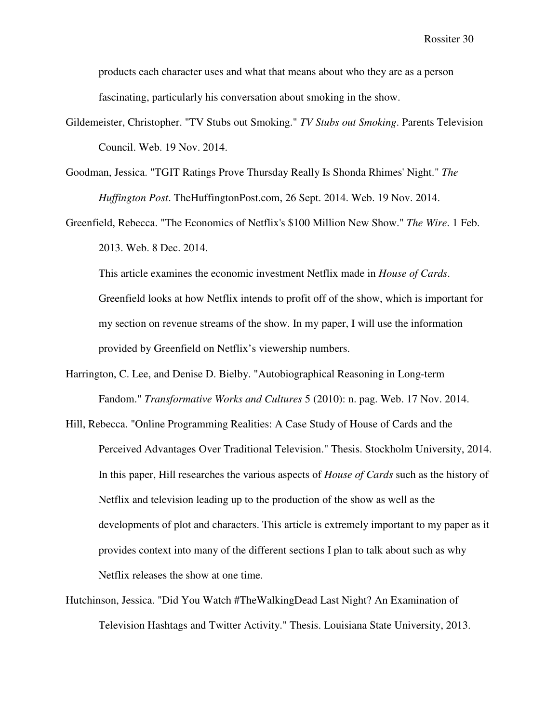products each character uses and what that means about who they are as a person fascinating, particularly his conversation about smoking in the show.

- Gildemeister, Christopher. "TV Stubs out Smoking." *TV Stubs out Smoking*. Parents Television Council. Web. 19 Nov. 2014.
- Goodman, Jessica. "TGIT Ratings Prove Thursday Really Is Shonda Rhimes' Night." *The Huffington Post*. TheHuffingtonPost.com, 26 Sept. 2014. Web. 19 Nov. 2014.
- Greenfield, Rebecca. "The Economics of Netflix's \$100 Million New Show." *The Wire*. 1 Feb. 2013. Web. 8 Dec. 2014.

 This article examines the economic investment Netflix made in *House of Cards*. Greenfield looks at how Netflix intends to profit off of the show, which is important for my section on revenue streams of the show. In my paper, I will use the information provided by Greenfield on Netflix's viewership numbers.

- Harrington, C. Lee, and Denise D. Bielby. "Autobiographical Reasoning in Long-term Fandom." *Transformative Works and Cultures* 5 (2010): n. pag. Web. 17 Nov. 2014.
- Hill, Rebecca. "Online Programming Realities: A Case Study of House of Cards and the Perceived Advantages Over Traditional Television." Thesis. Stockholm University, 2014. In this paper, Hill researches the various aspects of *House of Cards* such as the history of Netflix and television leading up to the production of the show as well as the developments of plot and characters. This article is extremely important to my paper as it provides context into many of the different sections I plan to talk about such as why Netflix releases the show at one time.
- Hutchinson, Jessica. "Did You Watch #TheWalkingDead Last Night? An Examination of Television Hashtags and Twitter Activity." Thesis. Louisiana State University, 2013.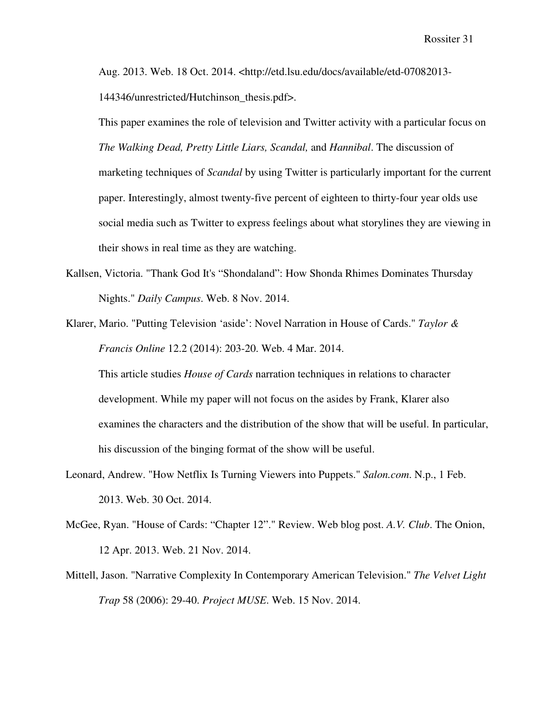Aug. 2013. Web. 18 Oct. 2014. <http://etd.lsu.edu/docs/available/etd-07082013- 144346/unrestricted/Hutchinson\_thesis.pdf>.

 This paper examines the role of television and Twitter activity with a particular focus on *The Walking Dead, Pretty Little Liars, Scandal,* and *Hannibal*. The discussion of marketing techniques of *Scandal* by using Twitter is particularly important for the current paper. Interestingly, almost twenty-five percent of eighteen to thirty-four year olds use social media such as Twitter to express feelings about what storylines they are viewing in their shows in real time as they are watching.

- Kallsen, Victoria. "Thank God It's "Shondaland": How Shonda Rhimes Dominates Thursday Nights." *Daily Campus*. Web. 8 Nov. 2014.
- Klarer, Mario. "Putting Television 'aside': Novel Narration in House of Cards." *Taylor & Francis Online* 12.2 (2014): 203-20. Web. 4 Mar. 2014.

 This article studies *House of Cards* narration techniques in relations to character development. While my paper will not focus on the asides by Frank, Klarer also examines the characters and the distribution of the show that will be useful. In particular, his discussion of the binging format of the show will be useful.

- Leonard, Andrew. "How Netflix Is Turning Viewers into Puppets." *Salon.com*. N.p., 1 Feb. 2013. Web. 30 Oct. 2014.
- McGee, Ryan. "House of Cards: "Chapter 12"." Review. Web blog post. *A.V. Club*. The Onion, 12 Apr. 2013. Web. 21 Nov. 2014.
- Mittell, Jason. "Narrative Complexity In Contemporary American Television." *The Velvet Light Trap* 58 (2006): 29-40. *Project MUSE*. Web. 15 Nov. 2014.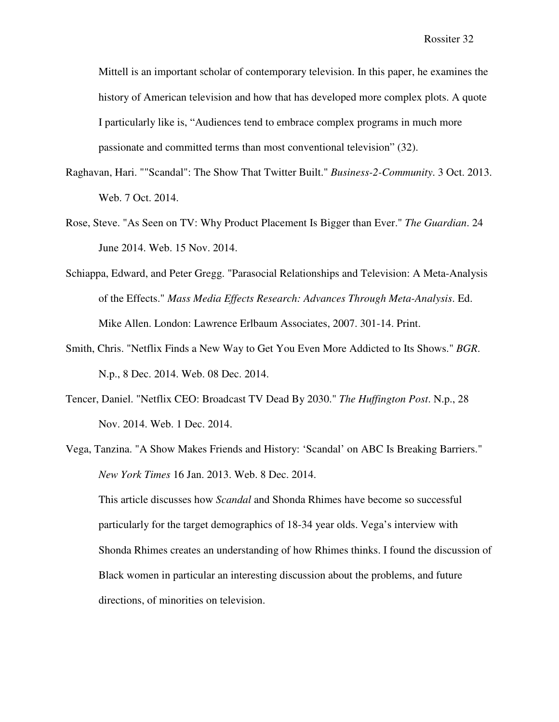Mittell is an important scholar of contemporary television. In this paper, he examines the history of American television and how that has developed more complex plots. A quote I particularly like is, "Audiences tend to embrace complex programs in much more passionate and committed terms than most conventional television" (32).

- Raghavan, Hari. ""Scandal": The Show That Twitter Built." *Business-2-Community*. 3 Oct. 2013. Web. 7 Oct. 2014.
- Rose, Steve. "As Seen on TV: Why Product Placement Is Bigger than Ever." *The Guardian*. 24 June 2014. Web. 15 Nov. 2014.
- Schiappa, Edward, and Peter Gregg. "Parasocial Relationships and Television: A Meta-Analysis of the Effects." *Mass Media Effects Research: Advances Through Meta-Analysis*. Ed. Mike Allen. London: Lawrence Erlbaum Associates, 2007. 301-14. Print.
- Smith, Chris. "Netflix Finds a New Way to Get You Even More Addicted to Its Shows." *BGR*. N.p., 8 Dec. 2014. Web. 08 Dec. 2014.
- Tencer, Daniel. "Netflix CEO: Broadcast TV Dead By 2030." *The Huffington Post*. N.p., 28 Nov. 2014. Web. 1 Dec. 2014.
- Vega, Tanzina. "A Show Makes Friends and History: 'Scandal' on ABC Is Breaking Barriers." *New York Times* 16 Jan. 2013. Web. 8 Dec. 2014.

 This article discusses how *Scandal* and Shonda Rhimes have become so successful particularly for the target demographics of 18-34 year olds. Vega's interview with Shonda Rhimes creates an understanding of how Rhimes thinks. I found the discussion of Black women in particular an interesting discussion about the problems, and future directions, of minorities on television.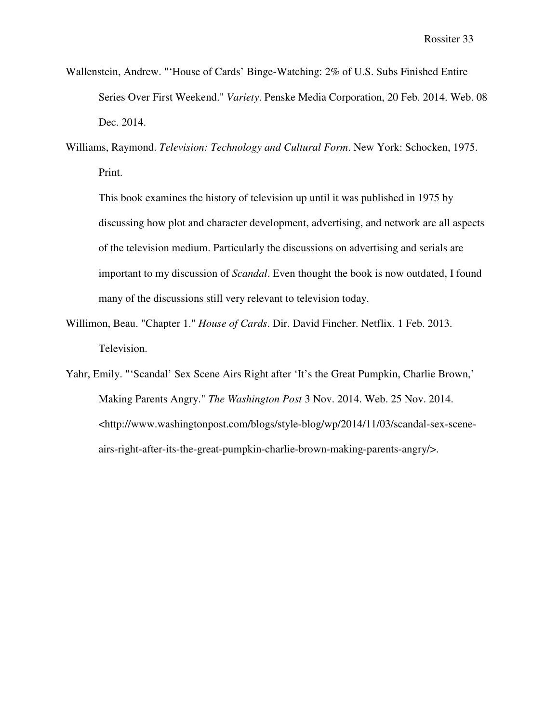- Wallenstein, Andrew. "'House of Cards' Binge-Watching: 2% of U.S. Subs Finished Entire Series Over First Weekend." *Variety*. Penske Media Corporation, 20 Feb. 2014. Web. 08 Dec. 2014.
- Williams, Raymond. *Television: Technology and Cultural Form*. New York: Schocken, 1975. Print.

 This book examines the history of television up until it was published in 1975 by discussing how plot and character development, advertising, and network are all aspects of the television medium. Particularly the discussions on advertising and serials are important to my discussion of *Scandal*. Even thought the book is now outdated, I found many of the discussions still very relevant to television today.

- Willimon, Beau. "Chapter 1." *House of Cards*. Dir. David Fincher. Netflix. 1 Feb. 2013. Television.
- Yahr, Emily. "'Scandal' Sex Scene Airs Right after 'It's the Great Pumpkin, Charlie Brown,' Making Parents Angry." *The Washington Post* 3 Nov. 2014. Web. 25 Nov. 2014. <http://www.washingtonpost.com/blogs/style-blog/wp/2014/11/03/scandal-sex-sceneairs-right-after-its-the-great-pumpkin-charlie-brown-making-parents-angry/>.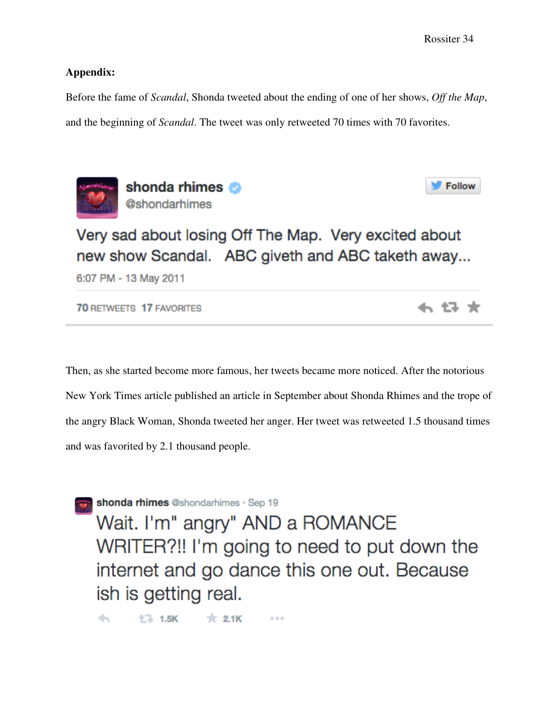## **Appendix:**

Before the fame of *Scandal*, Shonda tweeted about the ending of one of her shows, *Off the Map*, and the beginning of *Scandal*. The tweet was only retweeted 70 times with 70 favorites.



shonda rhimes @shondarhimes



← 13 ★

Very sad about losing Off The Map. Very excited about new show Scandal. ABC giveth and ABC taketh away...

6:07 PM - 13 May 2011

**70 RETWEETS 17 FAVORITES** 

Then, as she started become more famous, her tweets became more noticed. After the notorious New York Times article published an article in September about Shonda Rhimes and the trope of the angry Black Woman, Shonda tweeted her anger. Her tweet was retweeted 1.5 thousand times and was favorited by 2.1 thousand people.

shonda rhimes @shondarhimes · Sep 19

Wait. I'm" angry" AND a ROMANCE WRITER?!! I'm going to need to put down the internet and go dance this one out. Because ish is getting real.

 $47 - 1.5K$  $\pm 2.1K$  $\leftarrow$  $0<0$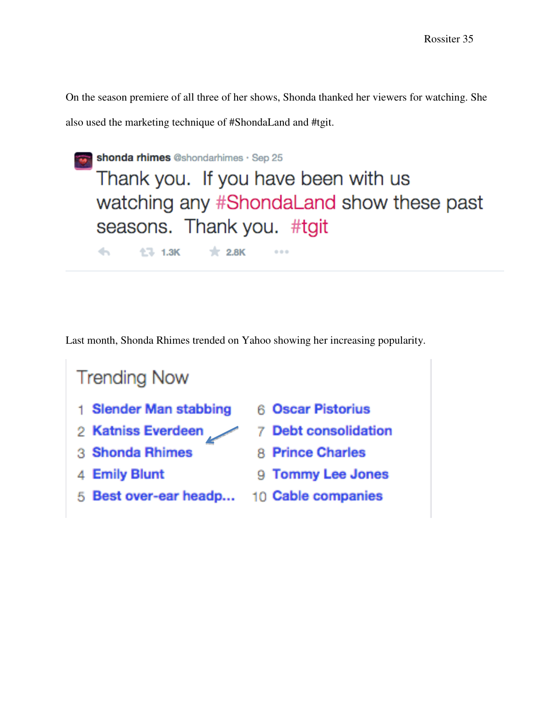On the season premiere of all three of her shows, Shonda thanked her viewers for watching. She

also used the marketing technique of #ShondaLand and #tgit.

| shonda rhimes @shondarhimes · Sep 25     |
|------------------------------------------|
| Thank you. If you have been with us      |
| watching any #ShondaLand show these past |
| seasons. Thank you. #tgit                |
| <b>◆ 七、1.3K ★ 2.8K</b><br>0.0.0          |

Last month, Shonda Rhimes trended on Yahoo showing her increasing popularity.

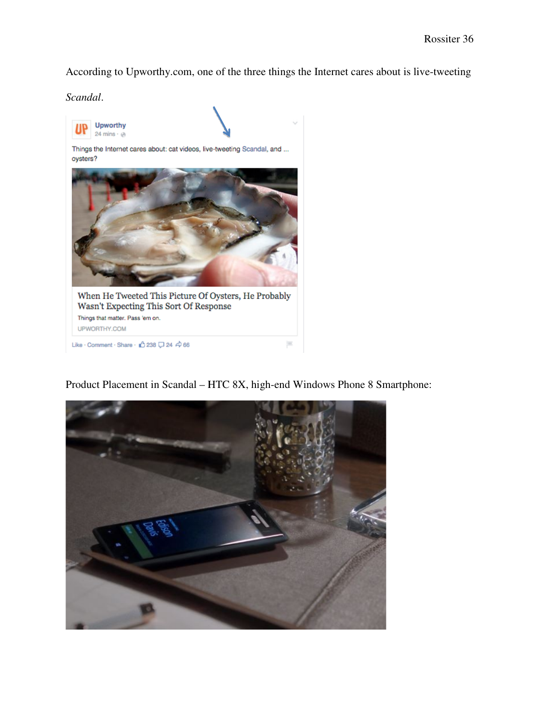According to Upworthy.com, one of the three things the Internet cares about is live-tweeting

*Scandal*.



Product Placement in Scandal – HTC 8X, high end